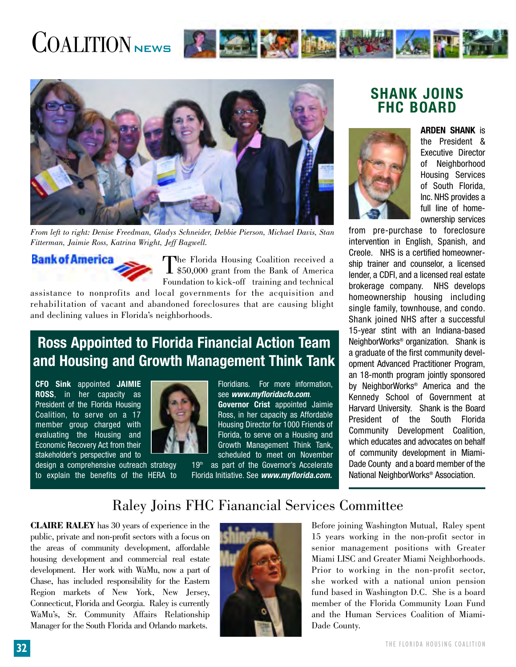# COALITIONNEWS **AND THE TIME OF THE SET OF THE TIME OF THE TIME OF THE TIME OF THE TIME OF THE TIME OF THE TIME OF THE TIME OF THE TIME OF THE TIME OF THE TIME OF THE TIME OF THE TIME OF THE TIME OF THE TIME OF THE TIME OF**



*From left to right: Denise Freedman, Gladys Schneider, Debbie Pierson, Michael Davis, Stan Fitterman, Jaimie Ross, Katrina Wright, Jeff Bagwell.*



The Florida Housing Coalition received a<br>\$50,000 grant from the Bank of America Foundation to kick-off training and technical

assistance to nonprofits and local governments for the acquisition and rehabilitation of vacant and abandoned foreclosures that are causing blight and declining values in Florida's neighborhoods.

## **Ross Appointed to Florida Financial Action Team and Housing and Growth Management Think Tank**

**CFO Sink** appointed **JAIMIE ROSS**, in her capacity as President of the Florida Housing Coalition, to serve on a 17 member group charged with evaluating the Housing and Economic Recovery Act from their stakeholder's perspective and to

design a comprehensive outreach strategy to explain the benefits of the HERA to



Floridians. For more information, see **www.myfloridacfo.com**. **Governor Crist** appointed Jaimie Ross, in her capacity as Affordable Housing Director for 1000 Friends of Florida, to serve on a Housing and Growth Management Think Tank, scheduled to meet on November

 $19<sup>th</sup>$  as part of the Governor's Accelerate Florida Initiative. See **www.myflorida.com.**

### **SHANK JOINS FHC BOARD**



**ARDEN SHANK** is the President & Executive Director of Neighborhood Housing Services of South Florida, Inc. NHS provides a full line of homeownership services

from pre-purchase to foreclosure intervention in English, Spanish, and Creole. NHS is a certified homeownership trainer and counselor, a licensed lender, a CDFI, and a licensed real estate brokerage company. NHS develops homeownership housing including single family, townhouse, and condo. Shank joined NHS after a successful 15-year stint with an Indiana-based NeighborWorks® organization. Shank is a graduate of the first community development Advanced Practitioner Program, an 18-month program jointly sponsored by NeighborWorks® America and the Kennedy School of Government at Harvard University. Shank is the Board President of the South Florida Community Development Coalition, which educates and advocates on behalf of community development in Miami-Dade County and a board member of the National NeighborWorks® Association.

## Raley Joins FHC Fianancial Services Committee

**CLAIRE RALEY** has 30 years of experience in the public, private and non-profit sectors with a focus on the areas of community development, affordable housing development and commercial real estate development. Her work with WaMu, now a part of Chase, has included responsibility for the Eastern Region markets of New York, New Jersey, Connecticut, Florida and Georgia. Raley is currently WaMu's, Sr. Community Affairs Relationship Manager for the South Florida and Orlando markets.



Before joining Washington Mutual, Raley spent 15 years working in the non-profit sector in senior management positions with Greater Miami LISC and Greater Miami Neighborhoods. Prior to working in the non-profit sector, she worked with a national union pension fund based in Washington D.C. She is a board member of the Florida Community Loan Fund and the Human Services Coalition of Miami-Dade County.